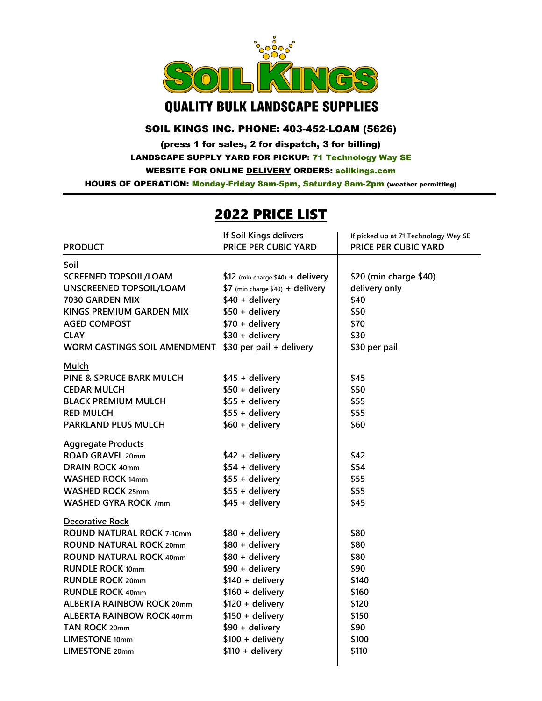

## **QUALITY BULK LANDSCAPE SUPPLIES**

## SOIL KINGS INC. PHONE: 403-452-LOAM (5626)

(press 1 for sales, 2 for dispatch, 3 for billing) LANDSCAPE SUPPLY YARD FOR PICKUP: 71 Technology Way SE WEBSITE FOR ONLINE DELIVERY ORDERS: soilkings.com

HOURS OF OPERATION: Monday-Friday 8am-5pm, Saturday 8am-2pm (weather permitting)

## 2022 PRICE LIST

|                                  | If Soil Kings delivers            | If picked up at 71 Technology Way SE |
|----------------------------------|-----------------------------------|--------------------------------------|
| <b>PRODUCT</b>                   | PRICE PER CUBIC YARD              | PRICE PER CUBIC YARD                 |
| Soil                             |                                   |                                      |
| <b>SCREENED TOPSOIL/LOAM</b>     | \$12 (min charge \$40) + delivery | \$20 (min charge \$40)               |
| <b>UNSCREENED TOPSOIL/LOAM</b>   | \$7 (min charge \$40) + delivery  | delivery only                        |
| 7030 GARDEN MIX                  | \$40 + delivery                   | \$40                                 |
| KINGS PREMIUM GARDEN MIX         | $$50 + delivery$                  | \$50                                 |
| <b>AGED COMPOST</b>              | $$70 + delivery$                  | \$70                                 |
| <b>CLAY</b>                      | $$30 + delivery$                  | \$30                                 |
| WORM CASTINGS SOIL AMENDMENT     | \$30 per pail + delivery          | \$30 per pail                        |
| <b>Mulch</b>                     |                                   |                                      |
| PINE & SPRUCE BARK MULCH         | $$45 +$ delivery                  | \$45                                 |
| <b>CEDAR MULCH</b>               | $$50 + delivery$                  | \$50                                 |
| <b>BLACK PREMIUM MULCH</b>       | $$55 +$ delivery                  | \$55                                 |
| <b>RED MULCH</b>                 | $$55 +$ delivery                  | \$55                                 |
| PARKLAND PLUS MULCH              | $$60 + delivery$                  | \$60                                 |
| <b>Aggregate Products</b>        |                                   |                                      |
| ROAD GRAVEL 20mm                 | $$42 + delivery$                  | \$42                                 |
| <b>DRAIN ROCK 40mm</b>           | $$54 + delivery$                  | \$54                                 |
| <b>WASHED ROCK 14mm</b>          | $$55 +$ delivery                  | \$55                                 |
| <b>WASHED ROCK 25mm</b>          | $$55 +$ delivery                  | \$55                                 |
| <b>WASHED GYRA ROCK 7mm</b>      | $$45 +$ delivery                  | \$45                                 |
| <b>Decorative Rock</b>           |                                   |                                      |
| <b>ROUND NATURAL ROCK 7-10mm</b> | $$80 + delivery$                  | \$80                                 |
| <b>ROUND NATURAL ROCK 20mm</b>   | \$80 + delivery                   | \$80                                 |
| <b>ROUND NATURAL ROCK 40mm</b>   | \$80 + delivery                   | \$80                                 |
| <b>RUNDLE ROCK 10mm</b>          | $$90 + delivery$                  | \$90                                 |
| <b>RUNDLE ROCK 20mm</b>          | $$140 + delivery$                 | \$140                                |
| <b>RUNDLE ROCK 40mm</b>          | $$160 + delivery$                 | \$160                                |
| <b>ALBERTA RAINBOW ROCK 20mm</b> | $$120 + delivery$                 | \$120                                |
| <b>ALBERTA RAINBOW ROCK 40mm</b> | $$150 + delivery$                 | \$150                                |
| TAN ROCK 20mm                    | $$90 + delivery$                  | \$90                                 |
| <b>LIMESTONE 10mm</b>            | $$100 + delivery$                 | \$100                                |
| <b>LIMESTONE 20mm</b>            | $$110 + delivery$                 | \$110                                |